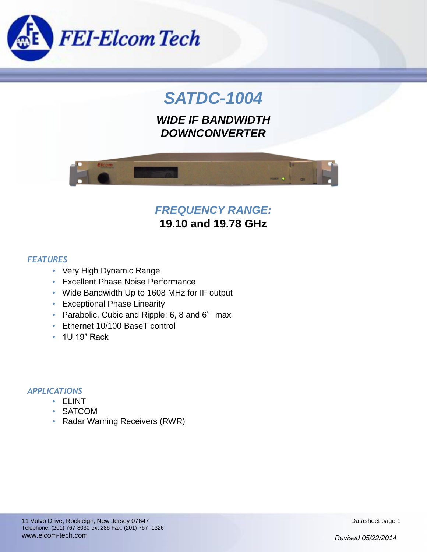

# *SATDC-1004*

*WIDE IF BANDWIDTH DOWNCONVERTER*



# *FREQUENCY RANGE:*

**19.10 and 19.78 GHz**

### *FEATURES*

- Very High Dynamic Range
- Excellent Phase Noise Performance
- Wide Bandwidth Up to 1608 MHz for IF output
- Exceptional Phase Linearity
- Parabolic, Cubic and Ripple: 6, 8 and  $6^\circ$  max
- Ethernet 10/100 BaseT control
- 1U 19" Rack

### *APPLICATIONS*

- ELINT
- SATCOM
- Radar Warning Receivers (RWR)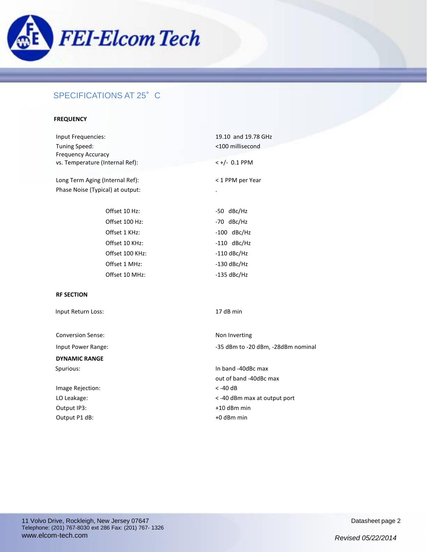

### SPECIFICATIONS AT 25°C

#### **FREQUENCY**

| Input Frequencies:                         | 19.10 and 19.78 GHz |
|--------------------------------------------|---------------------|
| Tuning Speed:<br><b>Frequency Accuracy</b> | <100 millisecond    |
| vs. Temperature (Internal Ref):            | $< +/- 0.1$ PPM     |
| Long Term Aging (Internal Ref):            | < 1 PPM per Year    |
| Phase Noise (Typical) at output:           |                     |
| Offset 10 Hz:                              | -50 dBc/Hz          |
| Offset 100 Hz:                             | -70 dBc/Hz          |
| Offset 1 KHz:                              | $-100$ dBc/Hz       |
| Offset 10 KHz:                             | $-110$ dBc/Hz       |
| Offset 100 KHz:                            | $-110$ dBc/Hz       |
| Offset 1 MHz:                              | $-130$ dBc/Hz       |
| Offset 10 MHz:                             | $-135$ dBc/Hz       |
| <b>RF SECTION</b>                          |                     |

Input Return Loss: 17 dB min

Conversion Sense: Non Inverting

**DYNAMIC RANGE**

Image Rejection: < -40 dB Output IP3:  $+10$  dBm min Output P1 dB:  $+0$  dBm min

Input Power Range:  $-35$  dBm to -20 dBm, -28dBm nominal

Spurious: Spurious: Spurious: In band -40dBc max out of band -40dBc max LO Leakage:  $\sim$  -40 dBm max at output port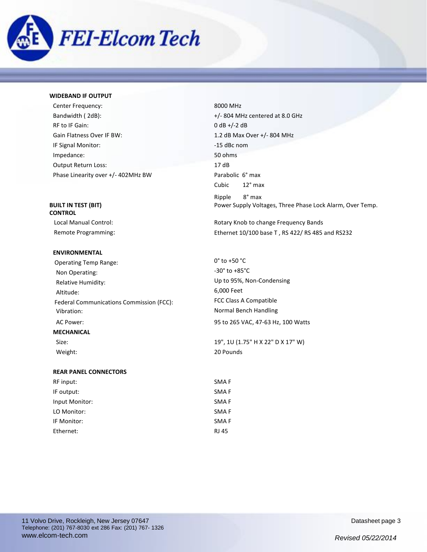

#### **WIDEBAND IF OUTPUT**

| Center Frequency:                  | 8000 MF      |
|------------------------------------|--------------|
| Bandwidth (2dB):                   | $+/- 804$ M  |
| RF to IF Gain:                     | $0 dB +/-2$  |
| Gain Flatness Over IF BW:          | $1.2$ dB $M$ |
| IF Signal Monitor:                 | $-15$ dBc r  |
| Impedance:                         | 50 ohms      |
| <b>Output Return Loss:</b>         | 17dB         |
| Phase Linearity over +/- 402MHz BW | Parabolio    |

# **CONTROL**

#### **ENVIRONMENTAL**

Operating Temp Range: Non Operating: Relative Humidity: Altitude: Federal Communications Commission (FCC): Vibration: AC Power: 95 to 265 VAC, 47-63 Hz, 100 Watts **MECHANICAL**

8000 MHz  $+/-$  804 MHz centered at 8.0 GHz  $0$  dB  $+/-2$  dB 1.2 dB Max Over +/- 804 MHz -15 dBc nom Parabolic 6° max Cubic 12° max Ripple 8° max **BUILT IN TEST (BIT) BUILT IN TEST (BIT) Power Supply Voltages, Three Phase Lock Alarm, Over Temp.** 

 Local Manual Control: Rotary Knob to change Frequency Bands Remote Programming: The mass of the Ethernet 10/100 base T, RS 422/ RS 485 and RS232

| $0^{\circ}$ to +50 $^{\circ}$ C    |
|------------------------------------|
| -30° to +85°C                      |
| Up to 95%, Non-Condensing          |
| 6,000 Feet                         |
| FCC Class A Compatible             |
| Normal Bench Handling              |
| 95 to 265 VAC, 47-63 Hz, 100 Watts |

 Size: 19", 1U (1.75" H X 22" D X 17" W) Weight: 20 Pounds

#### **REAR PANEL CONNECTORS**

| RF input:      | SMA <sub>F</sub> |
|----------------|------------------|
| IF output:     | SMA F            |
| Input Monitor: | SMA <sub>F</sub> |
| LO Monitor:    | SMA F            |
| IF Monitor:    | SMA <sub>F</sub> |
| Ethernet:      | RJ 45            |
|                |                  |